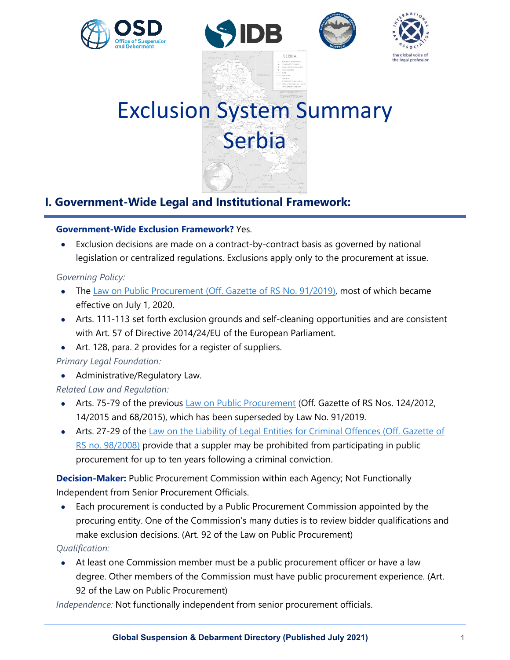







# Exclusion System Summary Serbia

# **I. Government-Wide Legal and Institutional Framework:**

### **Government-Wide Exclusion Framework?** Yes.

Exclusion decisions are made on a contract-by-contract basis as governed by national legislation or centralized regulations. Exclusions apply only to the procurement at issue.

#### *Governing Policy:*

- The [Law on Public Procurement \(Off. Gazette of RS No. 91/2019\),](http://www.pravno-informacioni-sistem.rs/SlGlasnikPortal/eli/rep/sgrs/skupstina/zakon/2019/91/1) most of which became effective on July 1, 2020.
- Arts. 111-113 set forth exclusion grounds and self-cleaning opportunities and are consistent with Art. 57 of Directive 2014/24/EU of the European Parliament.
- Art. 128, para. 2 provides for a register of suppliers.

## *Primary Legal Foundation:*

• Administrative/Regulatory Law.

## *Related Law and Regulation:*

- Arts. 75-79 of the previous [Law on Public Procurement](https://www.paragraf.rs/propisi/law-on-public-procurement.html) (Off. Gazette of RS Nos. 124/2012, 14/2015 and 68/2015), which has been superseded by Law No. 91/2019.
- Arts. 27-29 of the Law on the Liability of Legal Entities for Criminal Offences (Off. Gazette of [RS no. 98/2008\)](https://www.ohchr.org/Documents/Issues/Mercenaries/WG/Law/Serbia/LawOnLiability.pdf) provide that a suppler may be prohibited from participating in public procurement for up to ten years following a criminal conviction.

**Decision-Maker:** Public Procurement Commission within each Agency; Not Functionally Independent from Senior Procurement Officials.

• Each procurement is conducted by a Public Procurement Commission appointed by the procuring entity. One of the Commission's many duties is to review bidder qualifications and make exclusion decisions. (Art. 92 of the Law on Public Procurement)

#### *Qualification:*

• At least one Commission member must be a public procurement officer or have a law degree. Other members of the Commission must have public procurement experience. (Art. 92 of the Law on Public Procurement)

*Independence:* Not functionally independent from senior procurement officials.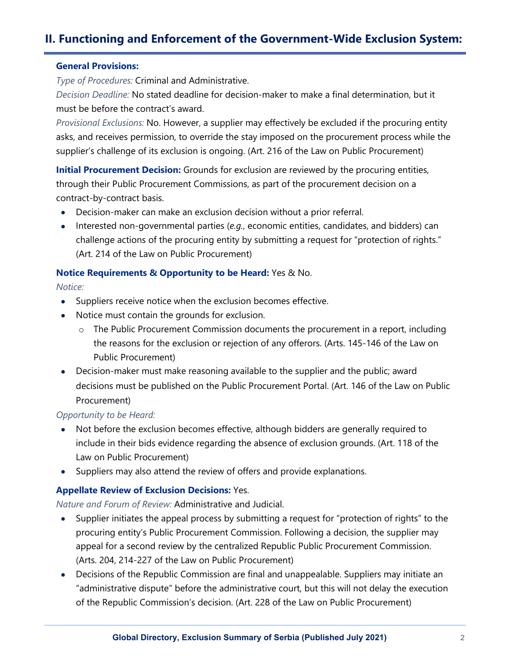# **II. Functioning and Enforcement of the Government-Wide Exclusion System:**

#### **General Provisions:**

*Type of Procedures:* Criminal and Administrative.

*Decision Deadline:* No stated deadline for decision-maker to make a final determination, but it must be before the contract's award.

*Provisional Exclusions:* No. However, a supplier may effectively be excluded if the procuring entity asks, and receives permission, to override the stay imposed on the procurement process while the supplier's challenge of its exclusion is ongoing. (Art. 216 of the Law on Public Procurement)

**Initial Procurement Decision:** Grounds for exclusion are reviewed by the procuring entities, through their Public Procurement Commissions, as part of the procurement decision on a contract-by-contract basis.

- Decision-maker can make an exclusion decision without a prior referral.
- Interested non-governmental parties (*e.g.*, economic entities, candidates, and bidders) can challenge actions of the procuring entity by submitting a request for "protection of rights." (Art. 214 of the Law on Public Procurement)

#### **Notice Requirements & Opportunity to be Heard:** Yes & No.

*Notice:*

- Suppliers receive notice when the exclusion becomes effective.
- Notice must contain the grounds for exclusion.
	- o The Public Procurement Commission documents the procurement in a report, including the reasons for the exclusion or rejection of any offerors. (Arts. 145-146 of the Law on Public Procurement)
- Decision-maker must make reasoning available to the supplier and the public; award decisions must be published on the Public Procurement Portal. (Art. 146 of the Law on Public Procurement)

#### *Opportunity to be Heard:*

- Not before the exclusion becomes effective, although bidders are generally required to include in their bids evidence regarding the absence of exclusion grounds. (Art. 118 of the Law on Public Procurement)
- Suppliers may also attend the review of offers and provide explanations.

#### **Appellate Review of Exclusion Decisions:** Yes.

*Nature and Forum of Review:* Administrative and Judicial.

- Supplier initiates the appeal process by submitting a request for "protection of rights" to the procuring entity's Public Procurement Commission. Following a decision, the supplier may appeal for a second review by the centralized Republic Public Procurement Commission. (Arts. 204, 214-227 of the Law on Public Procurement)
- Decisions of the Republic Commission are final and unappealable. Suppliers may initiate an "administrative dispute" before the administrative court, but this will not delay the execution of the Republic Commission's decision. (Art. 228 of the Law on Public Procurement)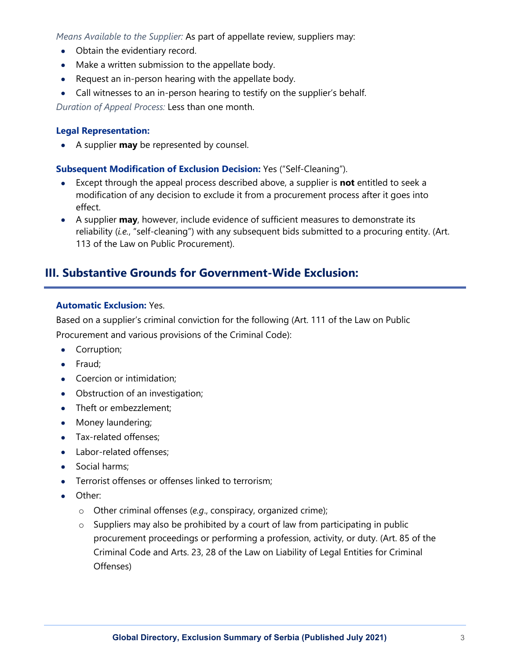*Means Available to the Supplier:* As part of appellate review, suppliers may:

- Obtain the evidentiary record.
- Make a written submission to the appellate body.
- Request an in-person hearing with the appellate body.
- Call witnesses to an in-person hearing to testify on the supplier's behalf.

*Duration of Appeal Process:* Less than one month.

#### **Legal Representation:**

• A supplier **may** be represented by counsel.

#### **Subsequent Modification of Exclusion Decision:** Yes ("Self-Cleaning").

- Except through the appeal process described above, a supplier is **not** entitled to seek a modification of any decision to exclude it from a procurement process after it goes into effect.
- A supplier **may**, however, include evidence of sufficient measures to demonstrate its reliability (*i.e.*, "self-cleaning") with any subsequent bids submitted to a procuring entity. (Art. 113 of the Law on Public Procurement).

## **III. Substantive Grounds for Government-Wide Exclusion:**

#### **Automatic Exclusion:** Yes.

Based on a supplier's criminal conviction for the following (Art. 111 of the Law on Public

Procurement and various provisions of the Criminal Code):

- Corruption;
- Fraud;
- Coercion or intimidation;
- Obstruction of an investigation;
- Theft or embezzlement;
- Money laundering;
- Tax-related offenses;
- Labor-related offenses;
- Social harms;
- Terrorist offenses or offenses linked to terrorism;
- Other:
	- o Other criminal offenses (*e.g*., conspiracy, organized crime);
	- o Suppliers may also be prohibited by a court of law from participating in public procurement proceedings or performing a profession, activity, or duty. (Art. 85 of the Criminal Code and Arts. 23, 28 of the Law on Liability of Legal Entities for Criminal Offenses)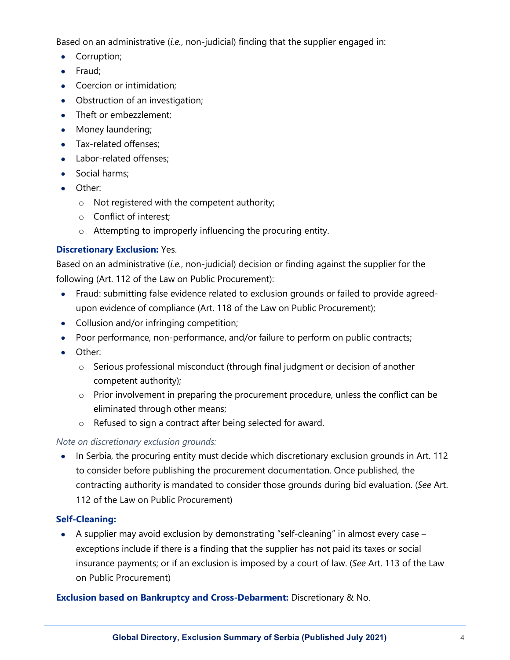Based on an administrative (*i.e.*, non-judicial) finding that the supplier engaged in:

- Corruption;
- Fraud;
- Coercion or intimidation;
- Obstruction of an investigation;
- Theft or embezzlement;
- Money laundering;
- Tax-related offenses;
- Labor-related offenses;
- Social harms;
- Other:
	- o Not registered with the competent authority;
	- o Conflict of interest;
	- o Attempting to improperly influencing the procuring entity.

## **Discretionary Exclusion:** Yes.

Based on an administrative (*i.e.*, non-judicial) decision or finding against the supplier for the following (Art. 112 of the Law on Public Procurement):

- Fraud: submitting false evidence related to exclusion grounds or failed to provide agreedupon evidence of compliance (Art. 118 of the Law on Public Procurement);
- Collusion and/or infringing competition;
- Poor performance, non-performance, and/or failure to perform on public contracts;
- Other:
	- o Serious professional misconduct (through final judgment or decision of another competent authority);
	- o Prior involvement in preparing the procurement procedure, unless the conflict can be eliminated through other means;
	- o Refused to sign a contract after being selected for award.

## *Note on discretionary exclusion grounds:*

• In Serbia, the procuring entity must decide which discretionary exclusion grounds in Art. 112 to consider before publishing the procurement documentation. Once published, the contracting authority is mandated to consider those grounds during bid evaluation. (*See* Art. 112 of the Law on Public Procurement)

## **Self-Cleaning:**

• A supplier may avoid exclusion by demonstrating "self-cleaning" in almost every case – exceptions include if there is a finding that the supplier has not paid its taxes or social insurance payments; or if an exclusion is imposed by a court of law. (*See* Art. 113 of the Law on Public Procurement)

## **Exclusion based on Bankruptcy and Cross-Debarment:** Discretionary & No.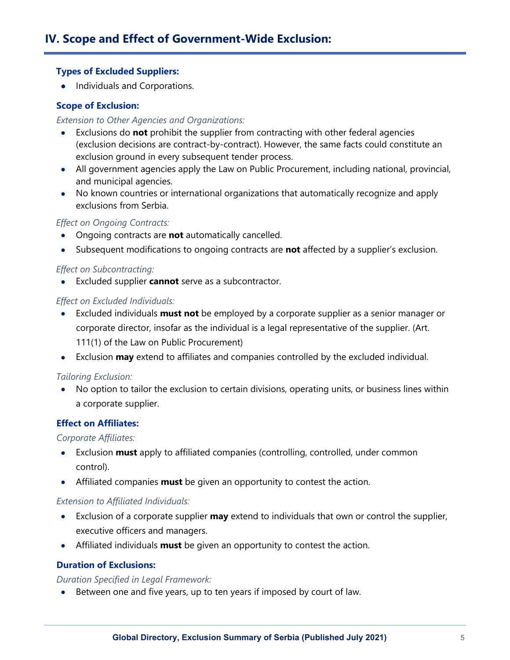#### **Types of Excluded Suppliers:**

• Individuals and Corporations.

#### **Scope of Exclusion:**

#### *Extension to Other Agencies and Organizations:*

- Exclusions do **not** prohibit the supplier from contracting with other federal agencies (exclusion decisions are contract-by-contract). However, the same facts could constitute an exclusion ground in every subsequent tender process.
- All government agencies apply the Law on Public Procurement, including national, provincial, and municipal agencies.
- No known countries or international organizations that automatically recognize and apply exclusions from Serbia.

#### *Effect on Ongoing Contracts:*

- Ongoing contracts are **not** automatically cancelled.
- Subsequent modifications to ongoing contracts are **not** affected by a supplier's exclusion.

#### *Effect on Subcontracting:*

• Excluded supplier **cannot** serve as a subcontractor.

#### *Effect on Excluded Individuals:*

- Excluded individuals **must not** be employed by a corporate supplier as a senior manager or corporate director, insofar as the individual is a legal representative of the supplier. (Art. 111(1) of the Law on Public Procurement)
- Exclusion **may** extend to affiliates and companies controlled by the excluded individual.

#### *Tailoring Exclusion:*

• No option to tailor the exclusion to certain divisions, operating units, or business lines within a corporate supplier.

#### **Effect on Affiliates:**

#### *Corporate Affiliates:*

- Exclusion **must** apply to affiliated companies (controlling, controlled, under common control).
- Affiliated companies **must** be given an opportunity to contest the action.

#### *Extension to Affiliated Individuals:*

- Exclusion of a corporate supplier **may** extend to individuals that own or control the supplier, executive officers and managers.
- Affiliated individuals **must** be given an opportunity to contest the action.

#### **Duration of Exclusions:**

#### *Duration Specified in Legal Framework:*

• Between one and five years, up to ten years if imposed by court of law.